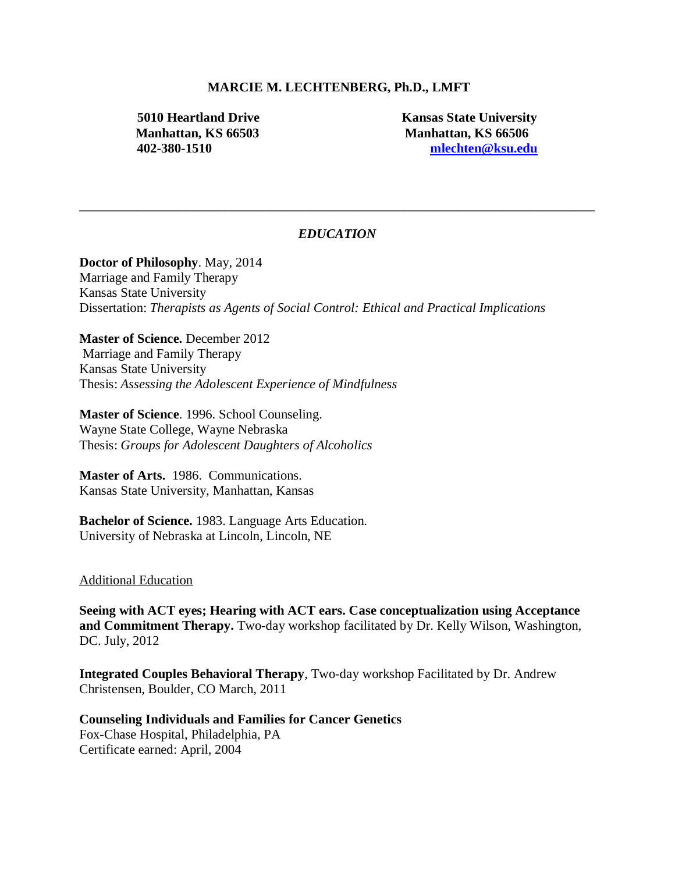### **MARCIE M. LECHTENBERG, Ph.D., LMFT**

**5010 Heartland Drive Kansas State University Manhattan, KS 66503 Manhattan, KS 66506 402-380-1510 [mlechten@ksu.edu](mailto:mlechten@ksu.edu)**

## *EDUCATION*

**\_\_\_\_\_\_\_\_\_\_\_\_\_\_\_\_\_\_\_\_\_\_\_\_\_\_\_\_\_\_\_\_\_\_\_\_\_\_\_\_\_\_\_\_\_\_\_\_\_\_\_\_\_\_\_\_\_\_\_\_\_\_\_\_\_\_\_\_\_\_\_\_\_\_\_\_\_\_**

**Doctor of Philosophy**. May, 2014 Marriage and Family Therapy Kansas State University Dissertation: *Therapists as Agents of Social Control: Ethical and Practical Implications*

**Master of Science.** December 2012 Marriage and Family Therapy Kansas State University Thesis: *Assessing the Adolescent Experience of Mindfulness*

**Master of Science**. 1996. School Counseling. Wayne State College, Wayne Nebraska Thesis: *Groups for Adolescent Daughters of Alcoholics*

**Master of Arts.** 1986. Communications. Kansas State University, Manhattan, Kansas

**Bachelor of Science.** 1983. Language Arts Education. University of Nebraska at Lincoln, Lincoln, NE

#### Additional Education

**Seeing with ACT eyes; Hearing with ACT ears. Case conceptualization using Acceptance and Commitment Therapy.** Two-day workshop facilitated by Dr. Kelly Wilson, Washington, DC. July, 2012

**Integrated Couples Behavioral Therapy**, Two-day workshop Facilitated by Dr. Andrew Christensen, Boulder, CO March, 2011

**Counseling Individuals and Families for Cancer Genetics**  Fox-Chase Hospital, Philadelphia, PA Certificate earned: April, 2004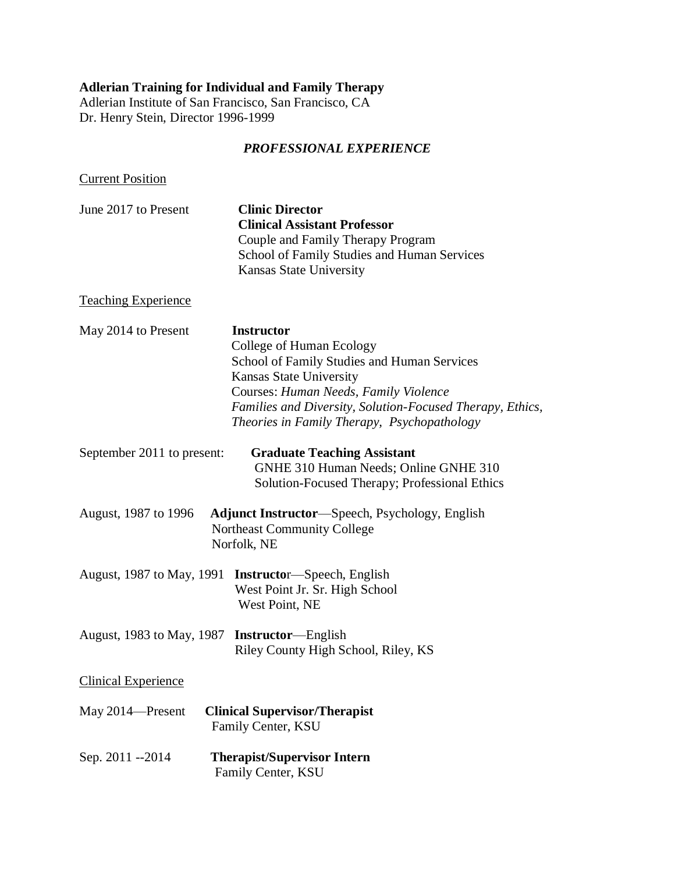# **Adlerian Training for Individual and Family Therapy**

Adlerian Institute of San Francisco, San Francisco, CA Dr. Henry Stein, Director 1996-1999

## *PROFESSIONAL EXPERIENCE*

**Current Position** 

| June 2017 to Present | <b>Clinic Director</b>                      |
|----------------------|---------------------------------------------|
|                      | <b>Clinical Assistant Professor</b>         |
|                      | Couple and Family Therapy Program           |
|                      | School of Family Studies and Human Services |
|                      | Kansas State University                     |

# Teaching Experience

| May 2014 to Present                          | <b>Instructor</b><br>College of Human Ecology<br>School of Family Studies and Human Services<br><b>Kansas State University</b><br>Courses: Human Needs, Family Violence<br>Families and Diversity, Solution-Focused Therapy, Ethics,<br>Theories in Family Therapy, Psychopathology |
|----------------------------------------------|-------------------------------------------------------------------------------------------------------------------------------------------------------------------------------------------------------------------------------------------------------------------------------------|
| September 2011 to present:                   | <b>Graduate Teaching Assistant</b><br>GNHE 310 Human Needs; Online GNHE 310<br>Solution-Focused Therapy; Professional Ethics                                                                                                                                                        |
| August, 1987 to 1996                         | <b>Adjunct Instructor—Speech, Psychology, English</b><br><b>Northeast Community College</b><br>Norfolk, NE                                                                                                                                                                          |
| August, 1987 to May, 1991                    | <b>Instructor—Speech, English</b><br>West Point Jr. Sr. High School<br>West Point, NE                                                                                                                                                                                               |
| August, 1983 to May, 1987 Instructor—English | Riley County High School, Riley, KS                                                                                                                                                                                                                                                 |
| <b>Clinical Experience</b>                   |                                                                                                                                                                                                                                                                                     |
| May 2014—Present                             | <b>Clinical Supervisor/Therapist</b><br>Family Center, KSU                                                                                                                                                                                                                          |
| Sep. 2011 --2014                             | <b>Therapist/Supervisor Intern</b><br>Family Center, KSU                                                                                                                                                                                                                            |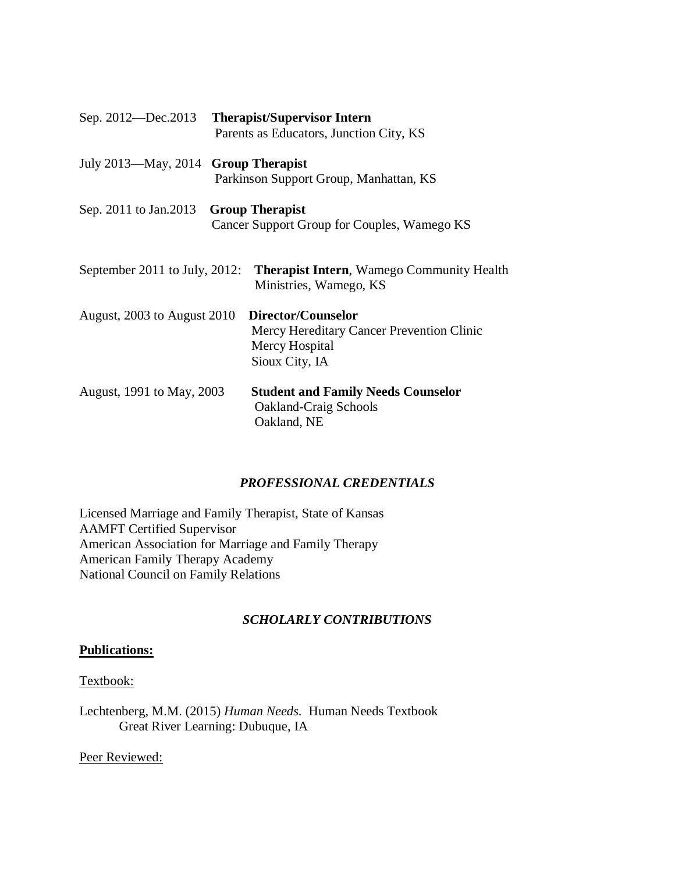|                                     | Sep. 2012—Dec.2013 Therapist/Supervisor Intern                                                      |
|-------------------------------------|-----------------------------------------------------------------------------------------------------|
|                                     | Parents as Educators, Junction City, KS                                                             |
| July 2013—May, 2014 Group Therapist | Parkinson Support Group, Manhattan, KS                                                              |
| Sep. 2011 to Jan. 2013              | <b>Group Therapist</b><br>Cancer Support Group for Couples, Wamego KS                               |
| September 2011 to July, 2012:       | <b>Therapist Intern, Wamego Community Health</b><br>Ministries, Wamego, KS                          |
| August, 2003 to August 2010         | Director/Counselor<br>Mercy Hereditary Cancer Prevention Clinic<br>Mercy Hospital<br>Sioux City, IA |
| August, 1991 to May, 2003           | <b>Student and Family Needs Counselor</b><br><b>Oakland-Craig Schools</b><br>Oakland, NE            |

## *PROFESSIONAL CREDENTIALS*

Licensed Marriage and Family Therapist, State of Kansas AAMFT Certified Supervisor American Association for Marriage and Family Therapy American Family Therapy Academy National Council on Family Relations

## *SCHOLARLY CONTRIBUTIONS*

## **Publications:**

### Textbook:

Lechtenberg, M.M. (2015) *Human Needs.* Human Needs Textbook Great River Learning: Dubuque, IA

Peer Reviewed: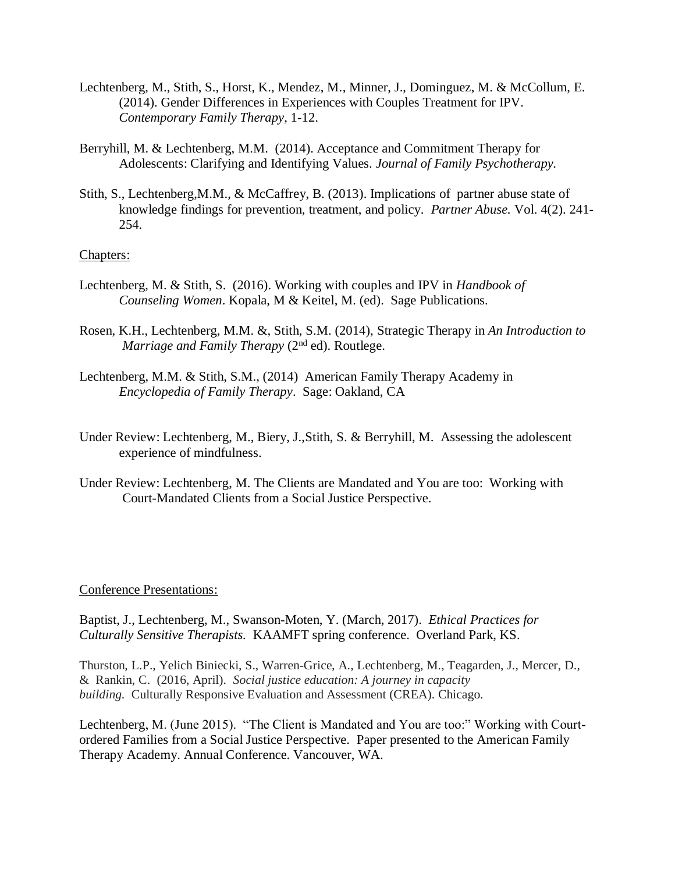- Lechtenberg, M., Stith, S., Horst, K., Mendez, M., Minner, J., Dominguez, M. & McCollum, E. (2014). Gender Differences in Experiences with Couples Treatment for IPV. *Contemporary Family Therapy*, 1-12.
- Berryhill, M. & Lechtenberg, M.M. (2014). Acceptance and Commitment Therapy for Adolescents: Clarifying and Identifying Values. *Journal of Family Psychotherapy.*
- Stith, S., Lechtenberg,M.M., & McCaffrey, B. (2013). Implications of partner abuse state of knowledge findings for prevention, treatment, and policy. *Partner Abuse.* Vol. 4(2). 241- 254.

### Chapters:

- Lechtenberg, M. & Stith, S. (2016). Working with couples and IPV in *Handbook of Counseling Women*. Kopala, M & Keitel, M. (ed). Sage Publications.
- Rosen, K.H., Lechtenberg, M.M. &, Stith, S.M. (2014), Strategic Therapy in *An Introduction to Marriage and Family Therapy (2<sup>nd</sup> ed)*. Routlege.
- Lechtenberg, M.M. & Stith, S.M., (2014) American Family Therapy Academy in *Encyclopedia of Family Therapy*. Sage: Oakland, CA
- Under Review: Lechtenberg, M., Biery, J.,Stith, S. & Berryhill, M. Assessing the adolescent experience of mindfulness.
- Under Review: Lechtenberg, M. The Clients are Mandated and You are too: Working with Court-Mandated Clients from a Social Justice Perspective.

#### Conference Presentations:

Baptist, J., Lechtenberg, M., Swanson-Moten, Y. (March, 2017). *Ethical Practices for Culturally Sensitive Therapists.* KAAMFT spring conference. Overland Park, KS.

Thurston, L.P., Yelich Biniecki, S., Warren-Grice, A., Lechtenberg, M., Teagarden, J., Mercer, D., & Rankin, C. (2016, April). *Social justice education: A journey in capacity building.* Culturally Responsive Evaluation and Assessment (CREA). Chicago.

Lechtenberg, M. (June 2015). "The Client is Mandated and You are too:" Working with Courtordered Families from a Social Justice Perspective. Paper presented to the American Family Therapy Academy. Annual Conference. Vancouver, WA.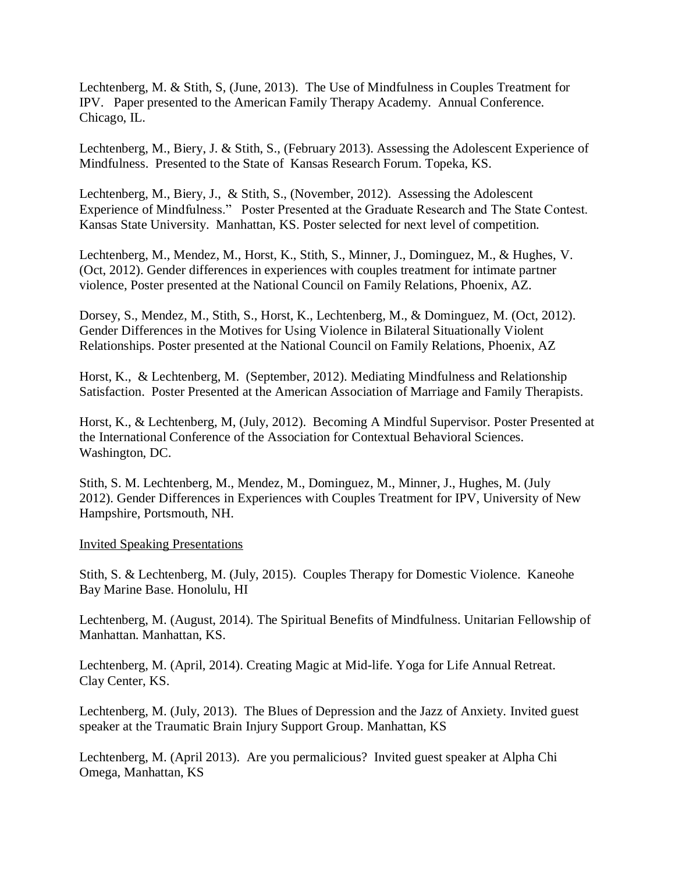Lechtenberg, M. & Stith, S, (June, 2013). The Use of Mindfulness in Couples Treatment for IPV. Paper presented to the American Family Therapy Academy. Annual Conference. Chicago, IL.

Lechtenberg, M., Biery, J. & Stith, S., (February 2013). Assessing the Adolescent Experience of Mindfulness. Presented to the State of Kansas Research Forum. Topeka, KS.

Lechtenberg, M., Biery, J., & Stith, S., (November, 2012). Assessing the Adolescent Experience of Mindfulness." Poster Presented at the Graduate Research and The State Contest. Kansas State University. Manhattan, KS. Poster selected for next level of competition.

Lechtenberg, M., Mendez, M., Horst, K., Stith, S., Minner, J., Dominguez, M., & Hughes, V. (Oct, 2012). Gender differences in experiences with couples treatment for intimate partner violence, Poster presented at the National Council on Family Relations, Phoenix, AZ.

Dorsey, S., Mendez, M., Stith, S., Horst, K., Lechtenberg, M., & Dominguez, M. (Oct, 2012). Gender Differences in the Motives for Using Violence in Bilateral Situationally Violent Relationships. Poster presented at the National Council on Family Relations, Phoenix, AZ

Horst, K., & Lechtenberg, M. (September, 2012). Mediating Mindfulness and Relationship Satisfaction. Poster Presented at the American Association of Marriage and Family Therapists.

Horst, K., & Lechtenberg, M, (July, 2012). Becoming A Mindful Supervisor. Poster Presented at the International Conference of the Association for Contextual Behavioral Sciences. Washington, DC.

Stith, S. M. Lechtenberg, M., Mendez, M., Dominguez, M., Minner, J., Hughes, M. (July 2012). Gender Differences in Experiences with Couples Treatment for IPV, University of New Hampshire, Portsmouth, NH.

Invited Speaking Presentations

Stith, S. & Lechtenberg, M. (July, 2015). Couples Therapy for Domestic Violence. Kaneohe Bay Marine Base. Honolulu, HI

Lechtenberg, M. (August, 2014). The Spiritual Benefits of Mindfulness. Unitarian Fellowship of Manhattan. Manhattan, KS.

Lechtenberg, M. (April, 2014). Creating Magic at Mid-life. Yoga for Life Annual Retreat. Clay Center, KS.

Lechtenberg, M. (July, 2013). The Blues of Depression and the Jazz of Anxiety. Invited guest speaker at the Traumatic Brain Injury Support Group. Manhattan, KS

Lechtenberg, M. (April 2013). Are you permalicious? Invited guest speaker at Alpha Chi Omega, Manhattan, KS